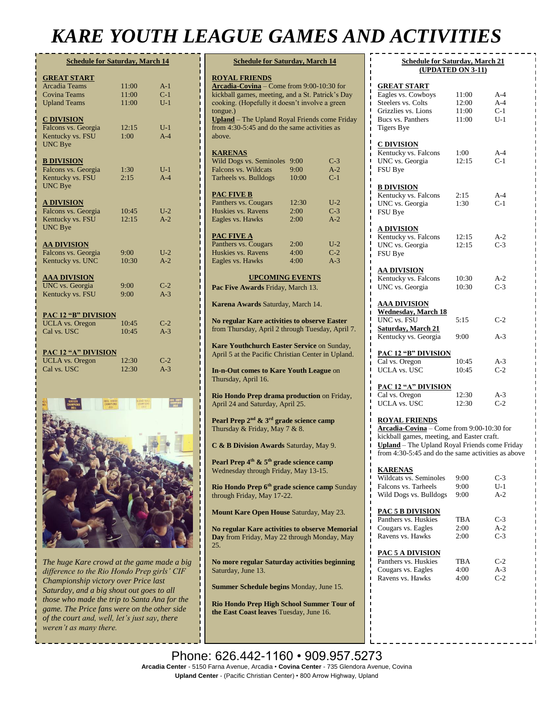## *KARE YOUTH LEAGUE GAMES AND ACTIVITIES*

| <b>Schedule for Saturday, March 14</b> |       |       |  |  |
|----------------------------------------|-------|-------|--|--|
| <b>GREAT START</b>                     |       |       |  |  |
| <b>Arcadia Teams</b>                   | 11:00 | $A-1$ |  |  |
| <b>Covina Teams</b>                    | 11:00 | $C-1$ |  |  |
| <b>Upland Teams</b>                    | 11:00 | $U-1$ |  |  |
| <b>C DIVISION</b>                      |       |       |  |  |
| Falcons vs. Georgia                    | 12:15 | $U-1$ |  |  |
| Kentucky vs. FSU                       | 1:00  | $A-4$ |  |  |
| <b>UNC Bye</b>                         |       |       |  |  |
| <b>B DIVISION</b>                      |       |       |  |  |
| Falcons vs. Georgia                    | 1:30  | $U-1$ |  |  |
| Kentucky vs. FSU                       | 2:15  | $A-4$ |  |  |
| UNC Bye                                |       |       |  |  |
| <b>A DIVISION</b>                      |       |       |  |  |
| Falcons vs. Georgia                    | 10:45 | $U-2$ |  |  |
| Kentucky vs. FSU                       | 12:15 | $A-2$ |  |  |
| <b>UNC Bye</b>                         |       |       |  |  |
| <b>AA DIVISION</b>                     |       |       |  |  |
| Falcons vs. Georgia                    | 9:00  | $U-2$ |  |  |
| Kentucky vs. UNC                       | 10:30 | $A-2$ |  |  |
| <b>AAA DIVISION</b>                    |       |       |  |  |
| UNC vs. Georgia                        | 9:00  | $C-2$ |  |  |
| Kentucky vs. FSU                       | 9:00  | $A-3$ |  |  |
| PAC 12 "B" DIVISION                    |       |       |  |  |
| <b>UCLA</b> vs. Oregon                 | 10:45 | $C-2$ |  |  |
| Cal vs. USC                            | 10:45 | $A-3$ |  |  |
|                                        |       |       |  |  |
| <b>PAC 12 "A" DIVISION</b>             |       |       |  |  |
| <b>UCLA</b> vs. Oregon                 | 12:30 | $C-2$ |  |  |
| Cal vs. USC                            | 12:30 | $A-3$ |  |  |



*The huge Kare crowd at the game made a big difference to the Rio Hondo Prep girls' CIF Championship victory over Price last Saturday, and a big shout out goes to all those who made the trip to Santa Ana for the game. The Price fans were on the other side of the court and, well, let's just say, there weren't as many there.*

| <b>Schedule for Saturday, March 14</b>                                                                  |              |                |  |  |
|---------------------------------------------------------------------------------------------------------|--------------|----------------|--|--|
| <b>ROYAL FRIENDS</b><br>Arcadia-Covina - Come from 9:00-10:30 for                                       |              |                |  |  |
| kickball games, meeting, and a St. Patrick's Day<br>cooking. (Hopefully it doesn't involve a green      |              |                |  |  |
| tongue.)<br>Upland - The Upland Royal Friends come Friday                                               |              |                |  |  |
| from 4:30-5:45 and do the same activities as<br>above.                                                  |              |                |  |  |
| <b>KARENAS</b><br>Wild Dogs vs. Seminoles 9:00                                                          |              | $C-3$          |  |  |
| <b>Falcons vs. Wildcats</b>                                                                             | 9:00         | $A-2$          |  |  |
| Tarheels vs. Bulldogs                                                                                   | 10:00        | $C-1$          |  |  |
| <b>PAC FIVE B</b><br>Panthers vs. Cougars                                                               | 12:30        | $U-2$          |  |  |
| Huskies vs. Ravens                                                                                      | 2:00         | $C-3$          |  |  |
| Eagles vs. Hawks                                                                                        | 2:00         | $A-2$          |  |  |
| <u>PAC FIVE A</u>                                                                                       |              |                |  |  |
| Panthers vs. Cougars                                                                                    | 2:00         | $U-2$          |  |  |
| Huskies vs. Ravens<br>Eagles vs. Hawks                                                                  | 4:00<br>4:00 | $C-2$<br>$A-3$ |  |  |
|                                                                                                         |              |                |  |  |
| <b>UPCOMING EVENTS</b><br>Pac Five Awards Friday, March 13.                                             |              |                |  |  |
| Karena Awards Saturday, March 14.                                                                       |              |                |  |  |
| No regular Kare activities to observe Easter<br>from Thursday, April 2 through Tuesday, April 7.        |              |                |  |  |
| Kare Youthchurch Easter Service on Sunday,<br>April 5 at the Pacific Christian Center in Upland.        |              |                |  |  |
| In-n-Out comes to Kare Youth League on<br>Thursday, April 16.                                           |              |                |  |  |
| Rio Hondo Prep drama production on Friday,<br>April 24 and Saturday, April 25.                          |              |                |  |  |
| Pearl Prep 2 <sup>nd</sup> & 3 <sup>rd</sup> grade science camp<br>Thursday & Friday, May 7 & 8.        |              |                |  |  |
| C & B Division Awards Saturday, May 9.                                                                  |              |                |  |  |
| Pearl Prep 4 <sup>th</sup> & 5 <sup>th</sup> grade science camp<br>Wednesday through Friday, May 13-15. |              |                |  |  |
| Rio Hondo Prep 6 <sup>th</sup> grade science camp Sunday<br>through Friday, May 17-22.                  |              |                |  |  |
| Mount Kare Open House Saturday, May 23.                                                                 |              |                |  |  |
| No regular Kare activities to observe Memorial<br>Day from Friday, May 22 through Monday, May<br>25.    |              |                |  |  |
| No more regular Saturday activities beginning<br>Saturday, June 13.                                     |              |                |  |  |
| Summer Schedule begins Monday, June 15.                                                                 |              |                |  |  |
| Rio Hondo Prep High School Summer Tour of<br>the East Coast leaves Tuesday, June 16.                    |              |                |  |  |
|                                                                                                         |              |                |  |  |

| <b>Schedule for Saturday, March 21</b><br>(UPDATED ON 3-11)                                                                                                                                                            |                                  |                                |  |  |  |
|------------------------------------------------------------------------------------------------------------------------------------------------------------------------------------------------------------------------|----------------------------------|--------------------------------|--|--|--|
| <b>GREAT START</b><br>Eagles vs. Cowboys<br>Steelers vs. Colts<br>Grizzlies vs. Lions<br>Bucs vs. Panthers<br><b>Tigers Bye</b>                                                                                        | 11:00<br>12:00<br>11:00<br>11:00 | A-4<br>$A-4$<br>$C-1$<br>$U-1$ |  |  |  |
| <b>C DIVISION</b><br>Kentucky vs. Falcons<br>UNC vs. Georgia<br>FSU Bye                                                                                                                                                | 1:00<br>12:15                    | $A-4$<br>$C-1$                 |  |  |  |
| <b>B DIVISION</b><br>Kentucky vs. Falcons<br>UNC vs. Georgia<br>FSU Bye                                                                                                                                                | 2:15<br>1:30                     | A-4<br>$C-1$                   |  |  |  |
| <u>A DIVISION</u><br>Kentucky vs. Falcons<br>UNC vs. Georgia<br>FSU Bye                                                                                                                                                | 12:15<br>12:15                   | A-2<br>$C-3$                   |  |  |  |
| <u>AA DIVISION</u><br>Kentucky vs. Falcons<br>UNC vs. Georgia                                                                                                                                                          | 10:30<br>10:30                   | $A-2$<br>$C-3$                 |  |  |  |
| <b>AAA DIVISION</b><br><b>Wednesday</b> , March 18<br>UNC vs. FSU<br><b>Saturday, March 21</b><br>Kentucky vs. Georgia                                                                                                 | 5:15<br>9:00                     | $C-2$<br>$A-3$                 |  |  |  |
| <u>PAC 12 "B" DIVISION</u><br>Cal vs. Oregon<br><b>UCLA vs. USC</b>                                                                                                                                                    | 10:45<br>10:45                   | $A-3$<br>$C-2$                 |  |  |  |
| <u>PAC 12 "A" DIVISION</u><br>Cal vs. Oregon<br><b>UCLA</b> vs. USC                                                                                                                                                    | 12:30<br>12:30                   | $A-3$<br>$C-2$                 |  |  |  |
| <b>ROYAL FRIENDS</b><br>Arcadia-Covina - Come from 9:00-10:30 for<br>kickball games, meeting, and Easter craft.<br>Upland - The Upland Royal Friends come Friday<br>from 4:30-5:45 and do the same activities as above |                                  |                                |  |  |  |
| <b>KARENAS</b><br>Wildcats vs. Seminoles<br>Falcons vs. Tarheels<br>Wild Dogs vs. Bulldogs                                                                                                                             | 9:00<br>9:00<br>9:00             | $C-3$<br>$U-1$<br>$A-2$        |  |  |  |
| <u>PAC 5 B DIVISION</u><br>Panthers vs. Huskies<br>Cougars vs. Eagles<br>Ravens vs. Hawks                                                                                                                              | TBA<br>2:00<br>2:00              | $C-3$<br>$A-2$<br>$C-3$        |  |  |  |
| PAC 5 A DIVISION                                                                                                                                                                                                       |                                  |                                |  |  |  |

| 1110.711.0131           |            |       |
|-------------------------|------------|-------|
| Panthers vs. Huskies    | <b>TBA</b> | $C-2$ |
| Cougars vs. Eagles      | 4:00       | $A-3$ |
| <b>Ravens vs. Hawks</b> | 4:00       | $C-2$ |
|                         |            |       |